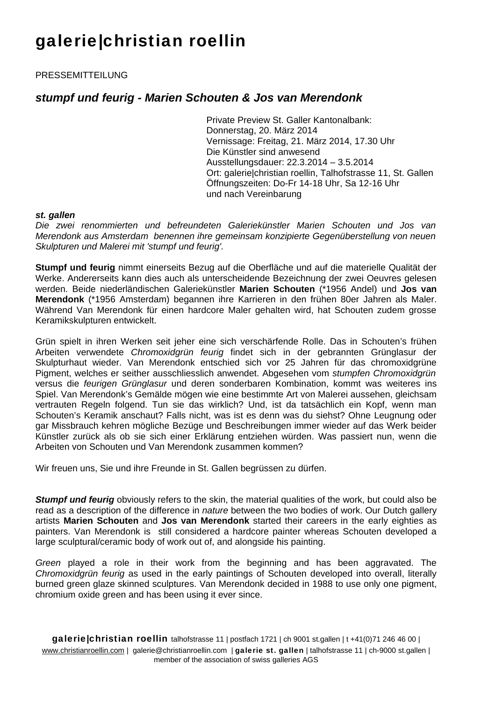## galerie|christian roellin

PRESSEMITTEILUNG

## *stumpf und feurig - Marien Schouten & Jos van Merendonk*

Private Preview St. Galler Kantonalbank: Donnerstag, 20. März 2014 Vernissage: Freitag, 21. März 2014, 17.30 Uhr Die Künstler sind anwesend Ausstellungsdauer: 22.3.2014 – 3.5.2014 Ort: galerie|christian roellin, Talhofstrasse 11, St. Gallen Öffnungszeiten: Do-Fr 14-18 Uhr, Sa 12-16 Uhr und nach Vereinbarung

## *st. gallen*

*Die zwei renommierten und befreundeten Galeriekünstler Marien Schouten und Jos van Merendonk aus Amsterdam benennen ihre gemeinsam konzipierte Gegenüberstellung von neuen Skulpturen und Malerei mit 'stumpf und feurig'.* 

**Stumpf und feurig** nimmt einerseits Bezug auf die Oberfläche und auf die materielle Qualität der Werke. Andererseits kann dies auch als unterscheidende Bezeichnung der zwei Oeuvres gelesen werden. Beide niederländischen Galeriekünstler **Marien Schouten** (\*1956 Andel) und **Jos van Merendonk** (\*1956 Amsterdam) begannen ihre Karrieren in den frühen 80er Jahren als Maler. Während Van Merendonk für einen hardcore Maler gehalten wird, hat Schouten zudem grosse Keramikskulpturen entwickelt.

Grün spielt in ihren Werken seit jeher eine sich verschärfende Rolle. Das in Schouten's frühen Arbeiten verwendete *Chromoxidgrün feurig* findet sich in der gebrannten Grünglasur der Skulpturhaut wieder. Van Merendonk entschied sich vor 25 Jahren für das chromoxidgrüne Pigment, welches er seither ausschliesslich anwendet. Abgesehen vom *stumpfen Chromoxidgrün*  versus die *feurigen Grünglasur* und deren sonderbaren Kombination, kommt was weiteres ins Spiel. Van Merendonk's Gemälde mögen wie eine bestimmte Art von Malerei aussehen, gleichsam vertrauten Regeln folgend. Tun sie das wirklich? Und, ist da tatsächlich ein Kopf, wenn man Schouten's Keramik anschaut? Falls nicht, was ist es denn was du siehst? Ohne Leugnung oder gar Missbrauch kehren mögliche Bezüge und Beschreibungen immer wieder auf das Werk beider Künstler zurück als ob sie sich einer Erklärung entziehen würden. Was passiert nun, wenn die Arbeiten von Schouten und Van Merendonk zusammen kommen?

Wir freuen uns, Sie und ihre Freunde in St. Gallen begrüssen zu dürfen.

**Stumpf und feurig** obviously refers to the skin, the material qualities of the work, but could also be read as a description of the difference in *nature* between the two bodies of work. Our Dutch gallery artists **Marien Schouten** and **Jos van Merendonk** started their careers in the early eighties as painters. Van Merendonk is still considered a hardcore painter whereas Schouten developed a large sculptural/ceramic body of work out of, and alongside his painting.

*Green* played a role in their work from the beginning and has been aggravated. The *Chromoxidgrün feurig* as used in the early paintings of Schouten developed into overall, literally burned green glaze skinned sculptures. Van Merendonk decided in 1988 to use only one pigment, chromium oxide green and has been using it ever since.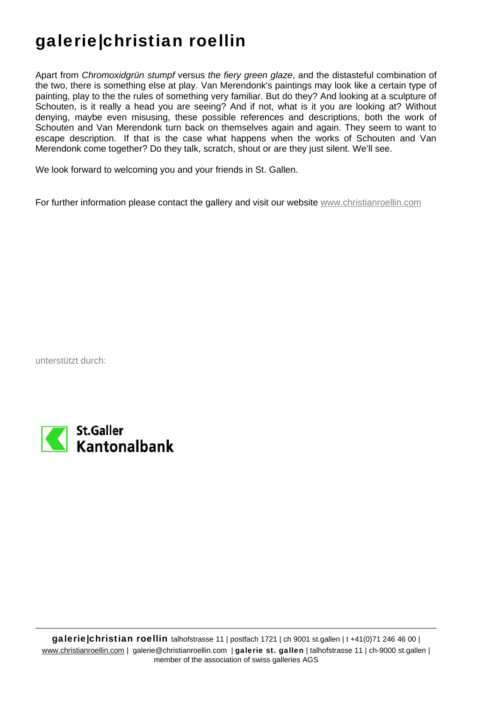## galerie|christian roellin

Apart from *Chromoxidgrün stumpf* versus *the fiery green glaze*, and the distasteful combination of the two, there is something else at play. Van Merendonk's paintings may look like a certain type of painting, play to the the rules of something very familiar. But do they? And looking at a sculpture of Schouten, is it really a head you are seeing? And if not, what is it you are looking at? Without denying, maybe even misusing, these possible references and descriptions, both the work of Schouten and Van Merendonk turn back on themselves again and again. They seem to want to escape description. If that is the case what happens when the works of Schouten and Van Merendonk come together? Do they talk, scratch, shout or are they just silent. We'll see.

We look forward to welcoming you and your friends in St. Gallen.

For further information please contact the gallery and visit our website www.christianroellin.com

unterstützt durch: